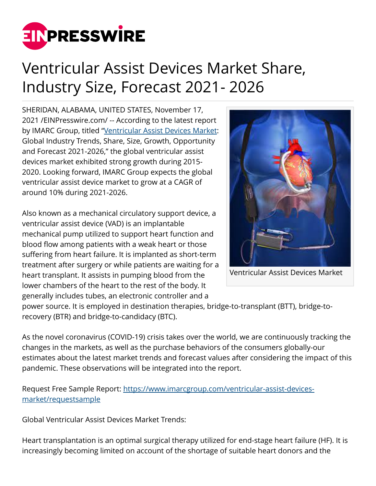

## Ventricular Assist Devices Market Share, Industry Size, Forecast 2021- 2026

SHERIDAN, ALABAMA, UNITED STATES, November 17, 2021 /[EINPresswire.com](http://www.einpresswire.com)/ -- According to the latest report by IMARC Group, titled ["Ventricular Assist Devices Market](https://www.imarcgroup.com/ventricular-assist-devices-market): Global Industry Trends, Share, Size, Growth, Opportunity and Forecast 2021-2026," the global ventricular assist devices market exhibited strong growth during 2015- 2020. Looking forward, IMARC Group expects the global ventricular assist device market to grow at a CAGR of around 10% during 2021-2026.

Also known as a mechanical circulatory support device, a ventricular assist device (VAD) is an implantable mechanical pump utilized to support heart function and blood flow among patients with a weak heart or those suffering from heart failure. It is implanted as short-term treatment after surgery or while patients are waiting for a heart transplant. It assists in pumping blood from the lower chambers of the heart to the rest of the body. It generally includes tubes, an electronic controller and a



Ventricular Assist Devices Market

power source. It is employed in destination therapies, bridge-to-transplant (BTT), bridge-torecovery (BTR) and bridge-to-candidacy (BTC).

As the novel coronavirus (COVID-19) crisis takes over the world, we are continuously tracking the changes in the markets, as well as the purchase behaviors of the consumers globally-our estimates about the latest market trends and forecast values after considering the impact of this pandemic. These observations will be integrated into the report.

Request Free Sample Report: [https://www.imarcgroup.com/ventricular-assist-devices](https://www.imarcgroup.com/ventricular-assist-devices-market/requestsample)[market/requestsample](https://www.imarcgroup.com/ventricular-assist-devices-market/requestsample)

Global Ventricular Assist Devices Market Trends:

Heart transplantation is an optimal surgical therapy utilized for end-stage heart failure (HF). It is increasingly becoming limited on account of the shortage of suitable heart donors and the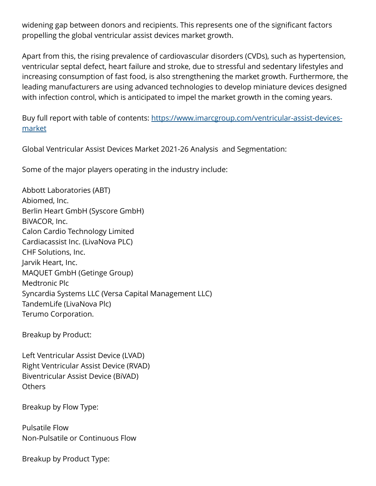widening gap between donors and recipients. This represents one of the significant factors propelling the global ventricular assist devices market growth.

Apart from this, the rising prevalence of cardiovascular disorders (CVDs), such as hypertension, ventricular septal defect, heart failure and stroke, due to stressful and sedentary lifestyles and increasing consumption of fast food, is also strengthening the market growth. Furthermore, the leading manufacturers are using advanced technologies to develop miniature devices designed with infection control, which is anticipated to impel the market growth in the coming years.

Buy full report with table of contents: [https://www.imarcgroup.com/ventricular-assist-devices](https://www.imarcgroup.com/ventricular-assist-devices-market)[market](https://www.imarcgroup.com/ventricular-assist-devices-market)

Global Ventricular Assist Devices Market 2021-26 Analysis and Segmentation:

Some of the major players operating in the industry include:

Abbott Laboratories (ABT) Abiomed, Inc. Berlin Heart GmbH (Syscore GmbH) BiVACOR, Inc. Calon Cardio Technology Limited Cardiacassist Inc. (LivaNova PLC) CHF Solutions, Inc. Jarvik Heart, Inc. MAQUET GmbH (Getinge Group) Medtronic Plc Syncardia Systems LLC (Versa Capital Management LLC) TandemLife (LivaNova Plc) Terumo Corporation.

Breakup by Product:

Left Ventricular Assist Device (LVAD) Right Ventricular Assist Device (RVAD) Biventricular Assist Device (BiVAD) Others

Breakup by Flow Type:

Pulsatile Flow Non-Pulsatile or Continuous Flow

Breakup by Product Type: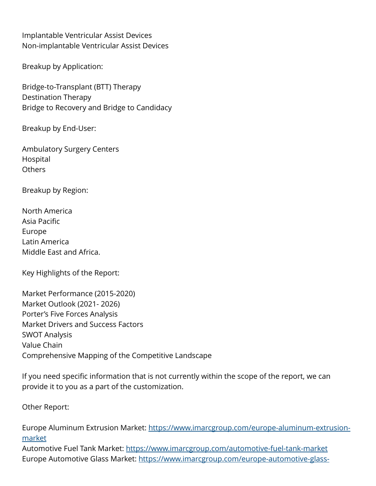Implantable Ventricular Assist Devices Non-implantable Ventricular Assist Devices

Breakup by Application:

Bridge-to-Transplant (BTT) Therapy Destination Therapy Bridge to Recovery and Bridge to Candidacy

Breakup by End-User:

Ambulatory Surgery Centers Hospital **Others** 

Breakup by Region:

North America Asia Pacific Europe Latin America Middle East and Africa.

Key Highlights of the Report:

Market Performance (2015-2020) Market Outlook (2021- 2026) Porter's Five Forces Analysis Market Drivers and Success Factors SWOT Analysis Value Chain Comprehensive Mapping of the Competitive Landscape

If you need specific information that is not currently within the scope of the report, we can provide it to you as a part of the customization.

Other Report:

Europe Aluminum Extrusion Market: [https://www.imarcgroup.com/europe-aluminum-extrusion](https://www.imarcgroup.com/europe-aluminum-extrusion-market)[market](https://www.imarcgroup.com/europe-aluminum-extrusion-market)

Automotive Fuel Tank Market:<https://www.imarcgroup.com/automotive-fuel-tank-market> Europe Automotive Glass Market: [https://www.imarcgroup.com/europe-automotive-glass-](https://www.imarcgroup.com/europe-automotive-glass-market)